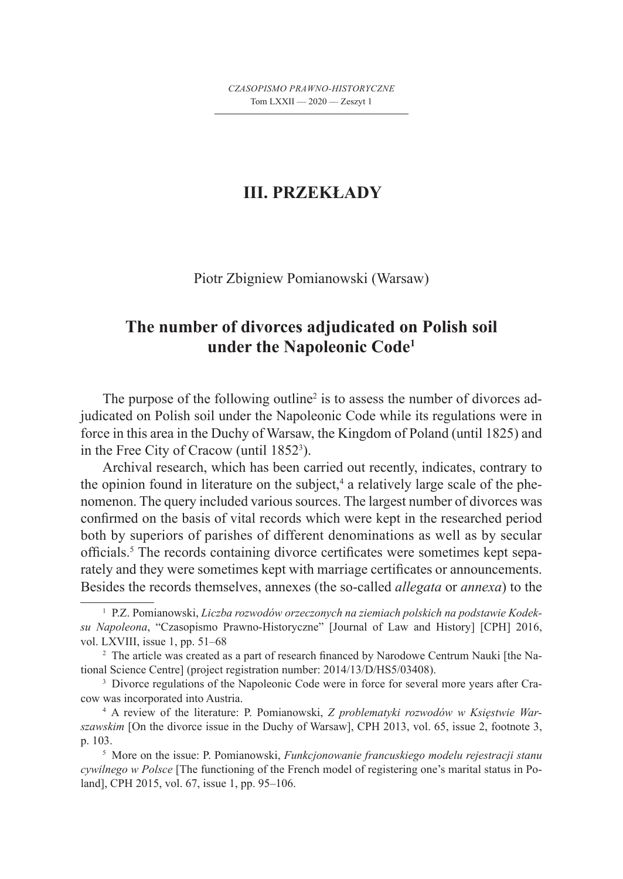## **III. PRZEKŁADY**

Piotr Zbigniew Pomianowski (Warsaw)

## **The number of divorces adjudicated on Polish soil under the Napoleonic Code1**

The purpose of the following outline<sup>2</sup> is to assess the number of divorces adjudicated on Polish soil under the Napoleonic Code while its regulations were in force in this area in the Duchy of Warsaw, the Kingdom of Poland (until 1825) and in the Free City of Cracow (until  $1852^3$ ).

Archival research, which has been carried out recently, indicates, contrary to the opinion found in literature on the subject,<sup>4</sup> a relatively large scale of the phenomenon. The query included various sources. The largest number of divorces was confirmed on the basis of vital records which were kept in the researched period both by superiors of parishes of different denominations as well as by secular officials.<sup>5</sup> The records containing divorce certificates were sometimes kept separately and they were sometimes kept with marriage certificates or announcements. Besides the records themselves, annexes (the so-called *allegata* or *annexa*) to the

<sup>1</sup> P.Z. Pomianowski, *Liczba rozwodów orzeczonych na ziemiach polskich na podstawie Kodeksu Napoleona*, "Czasopismo Prawno-Historyczne" [Journal of Law and History] [CPH] 2016, vol. LXVIII, issue 1, pp. 51–68

<sup>2</sup> The article was created as a part of research financed by Narodowe Centrum Nauki [the National Science Centre] (project registration number: 2014/13/D/HS5/03408).

<sup>&</sup>lt;sup>3</sup> Divorce regulations of the Napoleonic Code were in force for several more years after Cracow was incorporated into Austria.

<sup>4</sup> A review of the literature: P. Pomianowski, *Z problematyki rozwodów w Księstwie Warszawskim* [On the divorce issue in the Duchy of Warsaw], CPH 2013, vol. 65, issue 2, footnote 3, p. 103.

<sup>5</sup> More on the issue: P. Pomianowski, *Funkcjonowanie francuskiego modelu rejestracji stanu cywilnego w Polsce* [The functioning of the French model of registering one's marital status in Poland], CPH 2015, vol. 67, issue 1, pp. 95–106.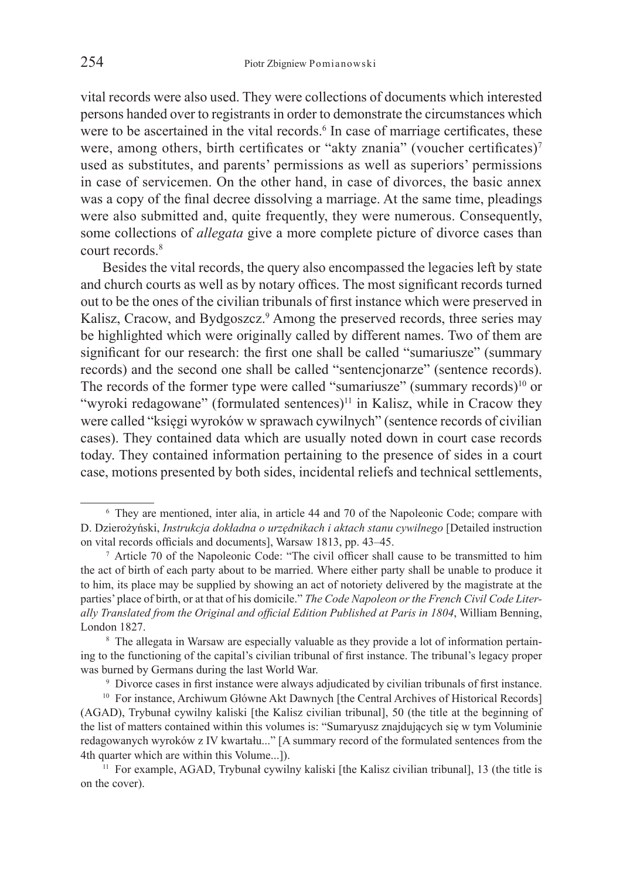vital records were also used. They were collections of documents which interested persons handed over to registrants in order to demonstrate the circumstances which were to be ascertained in the vital records.<sup>6</sup> In case of marriage certificates, these were, among others, birth certificates or "akty znania" (voucher certificates)<sup>7</sup> used as substitutes, and parents' permissions as well as superiors' permissions in case of servicemen. On the other hand, in case of divorces, the basic annex was a copy of the final decree dissolving a marriage. At the same time, pleadings were also submitted and, quite frequently, they were numerous. Consequently, some collections of *allegata* give a more complete picture of divorce cases than court records.<sup>8</sup>

Besides the vital records, the query also encompassed the legacies left by state and church courts as well as by notary offices. The most significant records turned out to be the ones of the civilian tribunals of first instance which were preserved in Kalisz, Cracow, and Bydgoszcz.<sup>9</sup> Among the preserved records, three series may be highlighted which were originally called by different names. Two of them are significant for our research: the first one shall be called "sumariusze" (summary records) and the second one shall be called "sentencjonarze" (sentence records). The records of the former type were called "sumariusze" (summary records)<sup>10</sup> or "wyroki redagowane" (formulated sentences)<sup>11</sup> in Kalisz, while in Cracow they were called "księgi wyroków w sprawach cywilnych" (sentence records of civilian cases). They contained data which are usually noted down in court case records today. They contained information pertaining to the presence of sides in a court case, motions presented by both sides, incidental reliefs and technical settlements,

<sup>6</sup> They are mentioned, inter alia, in article 44 and 70 of the Napoleonic Code; compare with D. Dzierożyński, *Instrukcja dokładna o urzędnikach i aktach stanu cywilnego* [Detailed instruction on vital records officials and documents], Warsaw 1813, pp. 43–45.

<sup>7</sup> Article 70 of the Napoleonic Code: "The civil officer shall cause to be transmitted to him the act of birth of each party about to be married. Where either party shall be unable to produce it to him, its place may be supplied by showing an act of notoriety delivered by the magistrate at the parties' place of birth, or at that of his domicile." *The Code Napoleon or the French Civil Code Literally Translated from the Original and official Edition Published at Paris in 1804*, William Benning, London 1827.

<sup>&</sup>lt;sup>8</sup> The allegata in Warsaw are especially valuable as they provide a lot of information pertaining to the functioning of the capital's civilian tribunal of first instance. The tribunal's legacy proper was burned by Germans during the last World War.

<sup>9</sup> Divorce cases in first instance were always adjudicated by civilian tribunals of first instance.

<sup>&</sup>lt;sup>10</sup> For instance, Archiwum Główne Akt Dawnych [the Central Archives of Historical Records] (AGAD), Trybunał cywilny kaliski [the Kalisz civilian tribunal], 50 (the title at the beginning of the list of matters contained within this volumes is: "Sumaryusz znajdujących się w tym Voluminie redagowanych wyroków z IV kwartału..." [A summary record of the formulated sentences from the 4th quarter which are within this Volume...]).

<sup>&</sup>lt;sup>11</sup> For example, AGAD, Trybunał cywilny kaliski [the Kalisz civilian tribunal], 13 (the title is on the cover).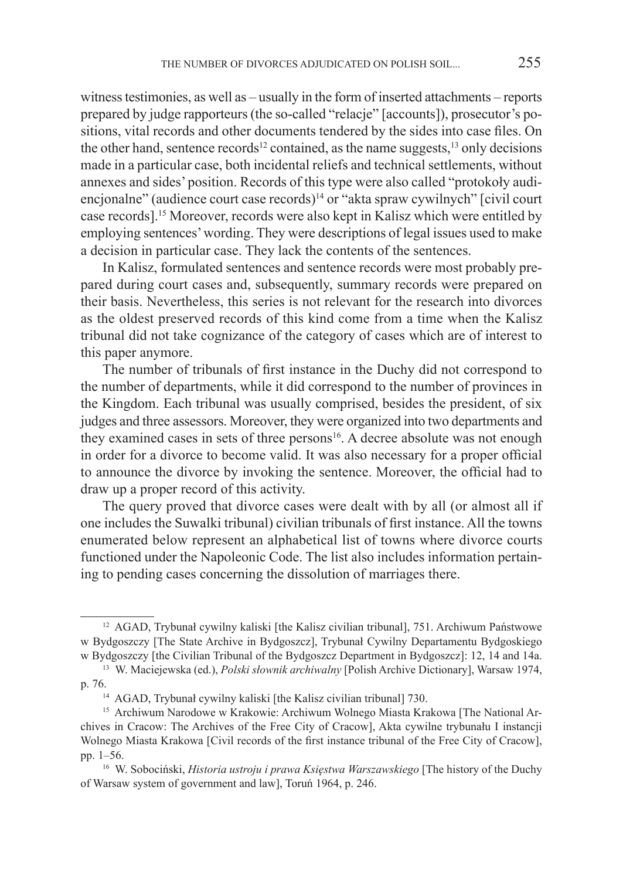witness testimonies, as well as – usually in the form of inserted attachments – reports prepared by judge rapporteurs (the so-called "relacje" [accounts]), prosecutor's positions, vital records and other documents tendered by the sides into case files. On the other hand, sentence records<sup>12</sup> contained, as the name suggests,<sup>13</sup> only decisions made in a particular case, both incidental reliefs and technical settlements, without annexes and sides' position. Records of this type were also called "protokoły audiencjonalne" (audience court case records)<sup>14</sup> or "akta spraw cywilnych" [civil court case records].15 Moreover, records were also kept in Kalisz which were entitled by employing sentences' wording. They were descriptions of legal issues used to make a decision in particular case. They lack the contents of the sentences.

In Kalisz, formulated sentences and sentence records were most probably prepared during court cases and, subsequently, summary records were prepared on their basis. Nevertheless, this series is not relevant for the research into divorces as the oldest preserved records of this kind come from a time when the Kalisz tribunal did not take cognizance of the category of cases which are of interest to this paper anymore.

The number of tribunals of first instance in the Duchy did not correspond to the number of departments, while it did correspond to the number of provinces in the Kingdom. Each tribunal was usually comprised, besides the president, of six judges and three assessors. Moreover, they were organized into two departments and they examined cases in sets of three persons<sup>16</sup>. A decree absolute was not enough in order for a divorce to become valid. It was also necessary for a proper official to announce the divorce by invoking the sentence. Moreover, the official had to draw up a proper record of this activity.

The query proved that divorce cases were dealt with by all (or almost all if one includes the Suwalki tribunal) civilian tribunals of first instance. All the towns enumerated below represent an alphabetical list of towns where divorce courts functioned under the Napoleonic Code. The list also includes information pertaining to pending cases concerning the dissolution of marriages there.

<sup>12</sup> AGAD, Trybunał cywilny kaliski [the Kalisz civilian tribunal], 751. Archiwum Państwowe w Bydgoszczy [The State Archive in Bydgoszcz], Trybunał Cywilny Departamentu Bydgoskiego w Bydgoszczy [the Civilian Tribunal of the Bydgoszcz Department in Bydgoszcz]: 12, 14 and 14a.

<sup>13</sup> W. Maciejewska (ed.), *Polski słownik archiwalny* [Polish Archive Dictionary], Warsaw 1974, p. 76.<br><sup>14</sup> AGAD, Trybunał cywilny kaliski [the Kalisz civilian tribunal] 730.

<sup>&</sup>lt;sup>15</sup> Archiwum Narodowe w Krakowie: Archiwum Wolnego Miasta Krakowa [The National Archives in Cracow: The Archives of the Free City of Cracow], Akta cywilne trybunału I instancji Wolnego Miasta Krakowa [Civil records of the first instance tribunal of the Free City of Cracow], pp. 1–56.

<sup>16</sup> W. Sobociński, *Historia ustroju i prawa Księstwa Warszawskiego* [The history of the Duchy of Warsaw system of government and law], Toruń 1964, p. 246.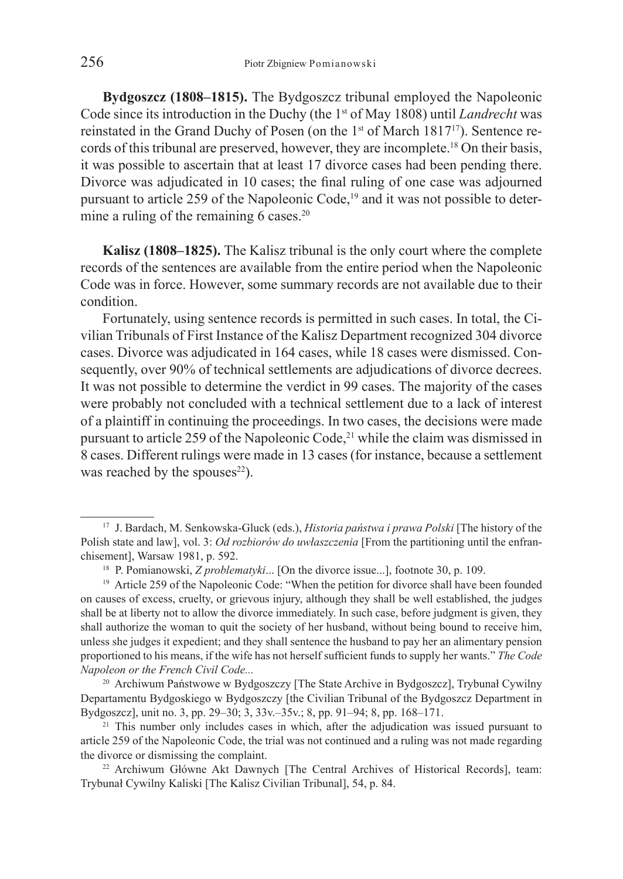**Bydgoszcz (1808–1815).** The Bydgoszcz tribunal employed the Napoleonic Code since its introduction in the Duchy (the 1st of May 1808) until *Landrecht* was reinstated in the Grand Duchy of Posen (on the 1<sup>st</sup> of March 1817<sup>17</sup>). Sentence records of this tribunal are preserved, however, they are incomplete.18 On their basis, it was possible to ascertain that at least 17 divorce cases had been pending there. Divorce was adjudicated in 10 cases; the final ruling of one case was adjourned pursuant to article 259 of the Napoleonic Code,<sup>19</sup> and it was not possible to determine a ruling of the remaining  $\vec{6}$  cases.<sup>20</sup>

**Kalisz (1808–1825).** The Kalisz tribunal is the only court where the complete records of the sentences are available from the entire period when the Napoleonic Code was in force. However, some summary records are not available due to their condition.

Fortunately, using sentence records is permitted in such cases. In total, the Civilian Tribunals of First Instance of the Kalisz Department recognized 304 divorce cases. Divorce was adjudicated in 164 cases, while 18 cases were dismissed. Consequently, over 90% of technical settlements are adjudications of divorce decrees. It was not possible to determine the verdict in 99 cases. The majority of the cases were probably not concluded with a technical settlement due to a lack of interest of a plaintiff in continuing the proceedings. In two cases, the decisions were made pursuant to article 259 of the Napoleonic Code,<sup>21</sup> while the claim was dismissed in 8 cases. Different rulings were made in 13 cases (for instance, because a settlement was reached by the spouses $^{22}$ ).

<sup>20</sup> Archiwum Państwowe w Bydgoszczy [The State Archive in Bydgoszcz], Trybunał Cywilny Departamentu Bydgoskiego w Bydgoszczy [the Civilian Tribunal of the Bydgoszcz Department in Bydgoszcz], unit no. 3, pp. 29–30; 3, 33v.–35v.; 8, pp. 91–94; 8, pp. 168–171.

<sup>17</sup> J. Bardach, M. Senkowska-Gluck (eds.), *Historia państwa i prawa Polski* [The history of the Polish state and law], vol. 3: *Od rozbiorów do uwłaszczenia* [From the partitioning until the enfranchisement], Warsaw 1981, p. 592.

<sup>18</sup> P. Pomianowski, *Z problematyki*... [On the divorce issue...], footnote 30, p. 109.

<sup>&</sup>lt;sup>19</sup> Article 259 of the Napoleonic Code: "When the petition for divorce shall have been founded on causes of excess, cruelty, or grievous injury, although they shall be well established, the judges shall be at liberty not to allow the divorce immediately. In such case, before judgment is given, they shall authorize the woman to quit the society of her husband, without being bound to receive him, unless she judges it expedient; and they shall sentence the husband to pay her an alimentary pension proportioned to his means, if the wife has not herself sufficient funds to supply her wants." *The Code Napoleon or the French Civil Code...* 

<sup>&</sup>lt;sup>21</sup> This number only includes cases in which, after the adjudication was issued pursuant to article 259 of the Napoleonic Code, the trial was not continued and a ruling was not made regarding the divorce or dismissing the complaint.<br><sup>22</sup> Archiwum Główne Akt Dawnych [The Central Archives of Historical Records], team:

Trybunał Cywilny Kaliski [The Kalisz Civilian Tribunal], 54, p. 84.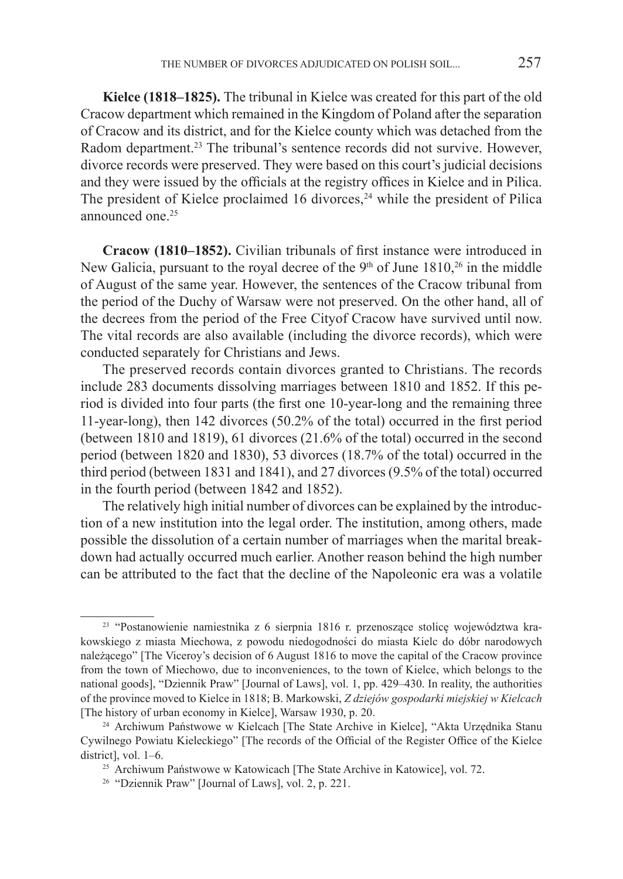**Kielce (1818–1825).** The tribunal in Kielce was created for this part of the old Cracow department which remained in the Kingdom of Poland after the separation of Cracow and its district, and for the Kielce county which was detached from the Radom department.<sup>23</sup> The tribunal's sentence records did not survive. However, divorce records were preserved. They were based on this court's judicial decisions and they were issued by the officials at the registry offices in Kielce and in Pilica. The president of Kielce proclaimed 16 divorces, $24$  while the president of Pilica announced one <sup>25</sup>

**Cracow (1810–1852).** Civilian tribunals of first instance were introduced in New Galicia, pursuant to the royal decree of the  $9<sup>th</sup>$  of June 1810,<sup>26</sup> in the middle of August of the same year. However, the sentences of the Cracow tribunal from the period of the Duchy of Warsaw were not preserved. On the other hand, all of the decrees from the period of the Free Cityof Cracow have survived until now. The vital records are also available (including the divorce records), which were conducted separately for Christians and Jews.

The preserved records contain divorces granted to Christians. The records include 283 documents dissolving marriages between 1810 and 1852. If this period is divided into four parts (the first one 10-year-long and the remaining three 11-year-long), then 142 divorces (50.2% of the total) occurred in the first period (between 1810 and 1819), 61 divorces (21.6% of the total) occurred in the second period (between 1820 and 1830), 53 divorces (18.7% of the total) occurred in the third period (between 1831 and 1841), and 27 divorces (9.5% of the total) occurred in the fourth period (between 1842 and 1852).

The relatively high initial number of divorces can be explained by the introduction of a new institution into the legal order. The institution, among others, made possible the dissolution of a certain number of marriages when the marital breakdown had actually occurred much earlier. Another reason behind the high number can be attributed to the fact that the decline of the Napoleonic era was a volatile

<sup>23</sup> "Postanowienie namiestnika z 6 sierpnia 1816 r. przenoszące stolicę województwa krakowskiego z miasta Miechowa, z powodu niedogodności do miasta Kielc do dóbr narodowych należącego" [The Viceroy's decision of 6 August 1816 to move the capital of the Cracow province from the town of Miechowo, due to inconveniences, to the town of Kielce, which belongs to the national goods], "Dziennik Praw" [Journal of Laws], vol. 1, pp. 429–430. In reality, the authorities of the province moved to Kielce in 1818; B. Markowski, *Z dziejów gospodarki miejskiej w Kielcach* [The history of urban economy in Kielce], Warsaw 1930, p. 20.

<sup>24</sup> Archiwum Państwowe w Kielcach [The State Archive in Kielce], "Akta Urzędnika Stanu Cywilnego Powiatu Kieleckiego" [The records of the Official of the Register Office of the Kielce district], vol. 1–6.

<sup>25</sup> Archiwum Państwowe w Katowicach [The State Archive in Katowice], vol. 72.

<sup>26</sup> "Dziennik Praw" [Journal of Laws], vol. 2, p. 221.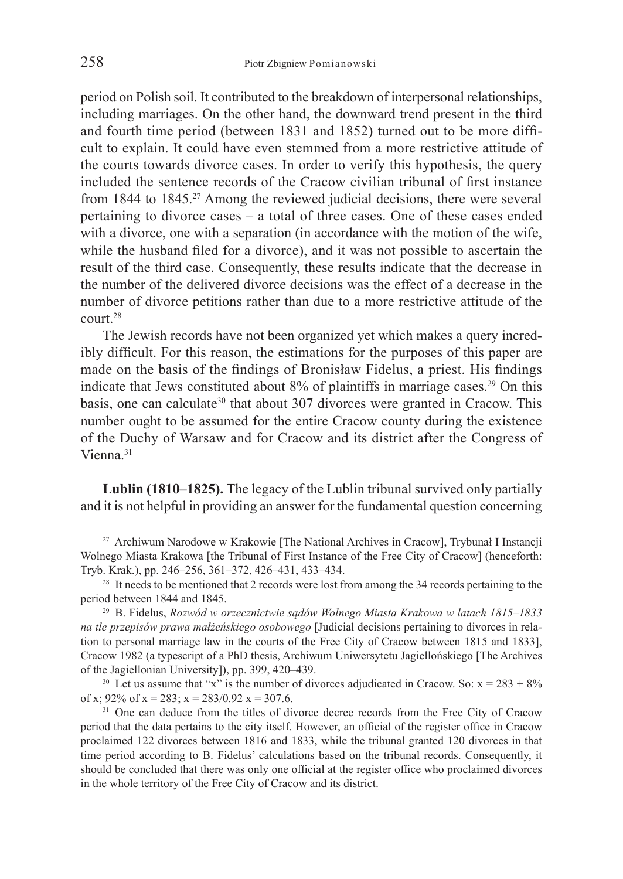period on Polish soil. It contributed to the breakdown of interpersonal relationships, including marriages. On the other hand, the downward trend present in the third and fourth time period (between 1831 and 1852) turned out to be more difficult to explain. It could have even stemmed from a more restrictive attitude of the courts towards divorce cases. In order to verify this hypothesis, the query included the sentence records of the Cracow civilian tribunal of first instance from 1844 to 1845.27 Among the reviewed judicial decisions, there were several pertaining to divorce cases – a total of three cases. One of these cases ended with a divorce, one with a separation (in accordance with the motion of the wife, while the husband filed for a divorce), and it was not possible to ascertain the result of the third case. Consequently, these results indicate that the decrease in the number of the delivered divorce decisions was the effect of a decrease in the number of divorce petitions rather than due to a more restrictive attitude of the court.28

The Jewish records have not been organized yet which makes a query incredibly difficult. For this reason, the estimations for the purposes of this paper are made on the basis of the findings of Bronisław Fidelus, a priest. His findings indicate that Jews constituted about 8% of plaintiffs in marriage cases.<sup>29</sup> On this basis, one can calculate<sup>30</sup> that about 307 divorces were granted in Cracow. This number ought to be assumed for the entire Cracow county during the existence of the Duchy of Warsaw and for Cracow and its district after the Congress of Vienna<sup>31</sup>

**Lublin (1810–1825).** The legacy of the Lublin tribunal survived only partially and it is not helpful in providing an answer for the fundamental question concerning

<sup>27</sup> Archiwum Narodowe w Krakowie [The National Archives in Cracow], Trybunał I Instancji Wolnego Miasta Krakowa [the Tribunal of First Instance of the Free City of Cracow] (henceforth: Tryb. Krak.), pp. 246–256, 361–372, 426–431, 433–434.

<sup>&</sup>lt;sup>28</sup> It needs to be mentioned that 2 records were lost from among the 34 records pertaining to the period between 1844 and 1845.

<sup>29</sup> B. Fidelus, *Rozwód w orzecznictwie sądów Wolnego Miasta Krakowa w latach 1815–1833 na tle przepisów prawa małżeńskiego osobowego* [Judicial decisions pertaining to divorces in relation to personal marriage law in the courts of the Free City of Cracow between 1815 and 1833], Cracow 1982 (a typescript of a PhD thesis, Archiwum Uniwersytetu Jagiellońskiego [The Archives of the Jagiellonian University]), pp. 399, 420–439.<br><sup>30</sup> Let us assume that "x" is the number of divorces adjudicated in Cracow. So: x = 283 + 8%

of x;  $92\%$  of x =  $283$ ; x =  $283/0.92$  x = 307.6.

<sup>&</sup>lt;sup>31</sup> One can deduce from the titles of divorce decree records from the Free City of Cracow period that the data pertains to the city itself. However, an official of the register office in Cracow proclaimed 122 divorces between 1816 and 1833, while the tribunal granted 120 divorces in that time period according to B. Fidelus' calculations based on the tribunal records. Consequently, it should be concluded that there was only one official at the register office who proclaimed divorces in the whole territory of the Free City of Cracow and its district.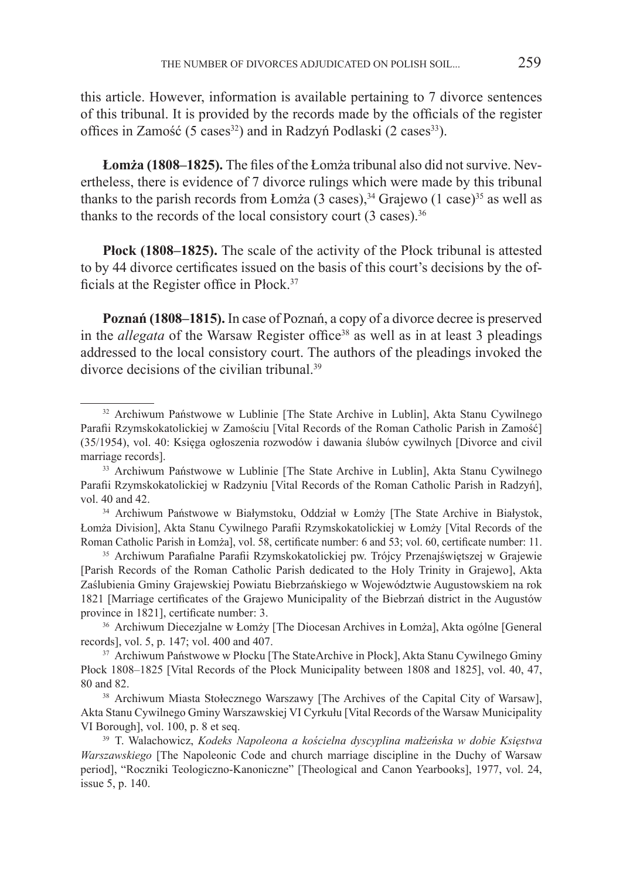this article. However, information is available pertaining to 7 divorce sentences of this tribunal. It is provided by the records made by the officials of the register offices in Zamość (5 cases<sup>32</sup>) and in Radzyń Podlaski (2 cases<sup>33</sup>).

**Łomża (1808–1825).** The files of the Łomża tribunal also did not survive. Nevertheless, there is evidence of 7 divorce rulings which were made by this tribunal thanks to the parish records from Łomża (3 cases),  $34$  Grajewo (1 case)<sup>35</sup> as well as thanks to the records of the local consistory court  $(3 \text{ cases})$ .<sup>36</sup>

**Płock (1808–1825).** The scale of the activity of the Płock tribunal is attested to by 44 divorce certificates issued on the basis of this court's decisions by the officials at the Register office in Płock.<sup>37</sup>

**Poznań (1808–1815).** In case of Poznań, a copy of a divorce decree is preserved in the *allegata* of the Warsaw Register office<sup>38</sup> as well as in at least 3 pleadings addressed to the local consistory court. The authors of the pleadings invoked the divorce decisions of the civilian tribunal<sup>39</sup>

<sup>32</sup> Archiwum Państwowe w Lublinie [The State Archive in Lublin], Akta Stanu Cywilnego Parafii Rzymskokatolickiej w Zamościu [Vital Records of the Roman Catholic Parish in Zamość] (35/1954), vol. 40: Księga ogłoszenia rozwodów i dawania ślubów cywilnych [Divorce and civil marriage records].

<sup>33</sup> Archiwum Państwowe w Lublinie [The State Archive in Lublin], Akta Stanu Cywilnego Parafii Rzymskokatolickiej w Radzyniu [Vital Records of the Roman Catholic Parish in Radzyń], vol. 40 and 42.

<sup>34</sup> Archiwum Państwowe w Białymstoku, Oddział w Łomży [The State Archive in Białystok, Łomża Division], Akta Stanu Cywilnego Parafii Rzymskokatolickiej w Łomży [Vital Records of the Roman Catholic Parish in Łomża], vol. 58, certificate number: 6 and 53; vol. 60, certificate number: 11.

<sup>35</sup> Archiwum Parafialne Parafii Rzymskokatolickiej pw. Trójcy Przenajświętszej w Grajewie [Parish Records of the Roman Catholic Parish dedicated to the Holy Trinity in Grajewo], Akta Zaślubienia Gminy Grajewskiej Powiatu Biebrzańskiego w Województwie Augustowskiem na rok 1821 [Marriage certificates of the Grajewo Municipality of the Biebrzań district in the Augustów province in 1821], certificate number: 3.

<sup>36</sup> Archiwum Diecezjalne w Łomży [The Diocesan Archives in Łomża], Akta ogólne [General records], vol. 5, p. 147; vol. 400 and 407.

<sup>&</sup>lt;sup>37</sup> Archiwum Państwowe w Płocku [The StateArchive in Płock], Akta Stanu Cywilnego Gminy Płock 1808–1825 [Vital Records of the Płock Municipality between 1808 and 1825], vol. 40, 47, 80 and 82.

<sup>&</sup>lt;sup>38</sup> Archiwum Miasta Stołecznego Warszawy [The Archives of the Capital City of Warsaw], Akta Stanu Cywilnego Gminy Warszawskiej VI Cyrkułu [Vital Records of the Warsaw Municipality VI Borough], vol. 100, p. 8 et seq.

<sup>39</sup> T. Walachowicz, *Kodeks Napoleona a kościelna dyscyplina małżeńska w dobie Księstwa Warszawskiego* [The Napoleonic Code and church marriage discipline in the Duchy of Warsaw period], "Roczniki Teologiczno-Kanoniczne" [Theological and Canon Yearbooks], 1977, vol. 24, issue 5, p. 140.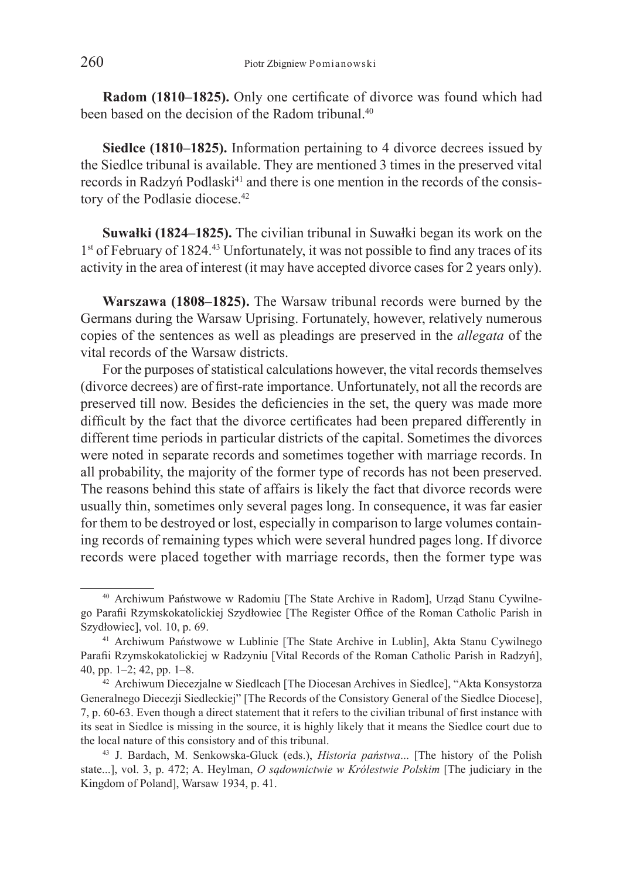**Radom (1810–1825).** Only one certificate of divorce was found which had been based on the decision of the Radom tribunal<sup>40</sup>

**Siedlce (1810–1825).** Information pertaining to 4 divorce decrees issued by the Siedlce tribunal is available. They are mentioned 3 times in the preserved vital records in Radzyń Podlaski<sup>41</sup> and there is one mention in the records of the consistory of the Podlasie diocese.<sup>42</sup>

**Suwałki (1824–1825).** The civilian tribunal in Suwałki began its work on the 1<sup>st</sup> of February of 1824.<sup>43</sup> Unfortunately, it was not possible to find any traces of its activity in the area of interest (it may have accepted divorce cases for 2 years only).

**Warszawa (1808–1825).** The Warsaw tribunal records were burned by the Germans during the Warsaw Uprising. Fortunately, however, relatively numerous copies of the sentences as well as pleadings are preserved in the *allegata* of the vital records of the Warsaw districts.

For the purposes of statistical calculations however, the vital records themselves (divorce decrees) are of first-rate importance. Unfortunately, not all the records are preserved till now. Besides the deficiencies in the set, the query was made more difficult by the fact that the divorce certificates had been prepared differently in different time periods in particular districts of the capital. Sometimes the divorces were noted in separate records and sometimes together with marriage records. In all probability, the majority of the former type of records has not been preserved. The reasons behind this state of affairs is likely the fact that divorce records were usually thin, sometimes only several pages long. In consequence, it was far easier for them to be destroyed or lost, especially in comparison to large volumes containing records of remaining types which were several hundred pages long. If divorce records were placed together with marriage records, then the former type was

<sup>40</sup> Archiwum Państwowe w Radomiu [The State Archive in Radom], Urząd Stanu Cywilnego Parafii Rzymskokatolickiej Szydłowiec [The Register Office of the Roman Catholic Parish in Szydłowiec], vol. 10, p. 69.

<sup>41</sup> Archiwum Państwowe w Lublinie [The State Archive in Lublin], Akta Stanu Cywilnego Parafii Rzymskokatolickiej w Radzyniu [Vital Records of the Roman Catholic Parish in Radzyń], 40, pp. 1–2; 42, pp. 1–8.

<sup>42</sup> Archiwum Diecezjalne w Siedlcach [The Diocesan Archives in Siedlce], "Akta Konsystorza Generalnego Diecezji Siedleckiej" [The Records of the Consistory General of the Siedlce Diocese], 7, p. 60-63. Even though a direct statement that it refers to the civilian tribunal of first instance with its seat in Siedlce is missing in the source, it is highly likely that it means the Siedlce court due to the local nature of this consistory and of this tribunal.

<sup>43</sup> J. Bardach, M. Senkowska-Gluck (eds.), *Historia państwa*... [The history of the Polish state...], vol. 3, p. 472; A. Heylman, *O sądownictwie w Królestwie Polskim* [The judiciary in the Kingdom of Poland], Warsaw 1934, p. 41.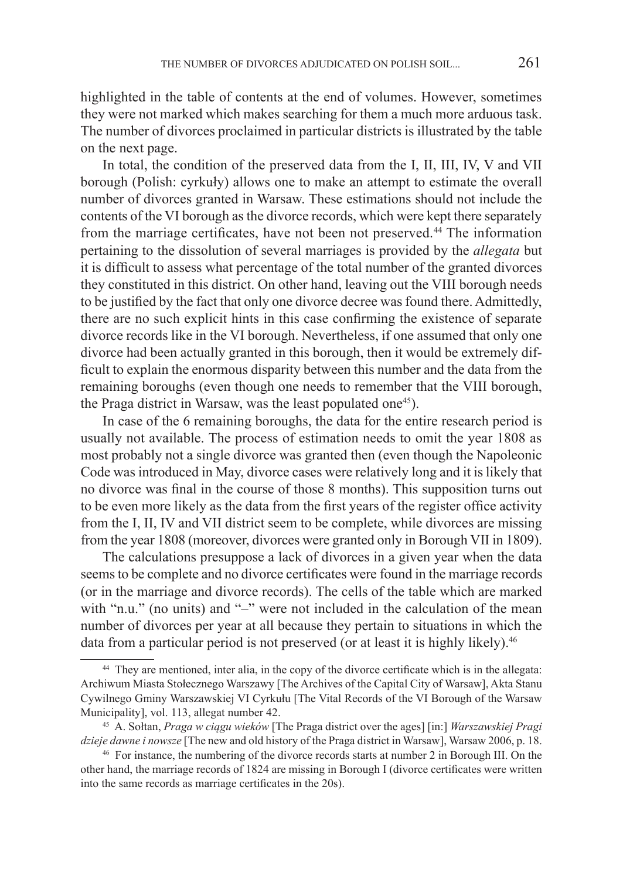highlighted in the table of contents at the end of volumes. However, sometimes they were not marked which makes searching for them a much more arduous task. The number of divorces proclaimed in particular districts is illustrated by the table on the next page.

In total, the condition of the preserved data from the I, II, III, IV, V and VII borough (Polish: cyrkuły) allows one to make an attempt to estimate the overall number of divorces granted in Warsaw. These estimations should not include the contents of the VI borough as the divorce records, which were kept there separately from the marriage certificates, have not been not preserved.<sup>44</sup> The information pertaining to the dissolution of several marriages is provided by the *allegata* but it is difficult to assess what percentage of the total number of the granted divorces they constituted in this district. On other hand, leaving out the VIII borough needs to be justified by the fact that only one divorce decree was found there. Admittedly, there are no such explicit hints in this case confirming the existence of separate divorce records like in the VI borough. Nevertheless, if one assumed that only one divorce had been actually granted in this borough, then it would be extremely difficult to explain the enormous disparity between this number and the data from the remaining boroughs (even though one needs to remember that the VIII borough, the Praga district in Warsaw, was the least populated one<sup>45</sup>).

In case of the 6 remaining boroughs, the data for the entire research period is usually not available. The process of estimation needs to omit the year 1808 as most probably not a single divorce was granted then (even though the Napoleonic Code was introduced in May, divorce cases were relatively long and it is likely that no divorce was final in the course of those 8 months). This supposition turns out to be even more likely as the data from the first years of the register office activity from the I, II, IV and VII district seem to be complete, while divorces are missing from the year 1808 (moreover, divorces were granted only in Borough VII in 1809).

The calculations presuppose a lack of divorces in a given year when the data seems to be complete and no divorce certificates were found in the marriage records (or in the marriage and divorce records). The cells of the table which are marked with "n.u." (no units) and "-" were not included in the calculation of the mean number of divorces per year at all because they pertain to situations in which the data from a particular period is not preserved (or at least it is highly likely).<sup>46</sup>

<sup>44</sup> They are mentioned, inter alia, in the copy of the divorce certificate which is in the allegata: Archiwum Miasta Stołecznego Warszawy [The Archives of the Capital City of Warsaw], Akta Stanu Cywilnego Gminy Warszawskiej VI Cyrkułu [The Vital Records of the VI Borough of the Warsaw Municipality], vol. 113, allegat number 42.

<sup>45</sup> A. Sołtan, *Praga w ciągu wieków* [The Praga district over the ages] [in:] *Warszawskiej Pragi dzieje dawne i nowsze* [The new and old history of the Praga district in Warsaw], Warsaw 2006, p. 18.

<sup>46</sup> For instance, the numbering of the divorce records starts at number 2 in Borough III. On the other hand, the marriage records of 1824 are missing in Borough I (divorce certificates were written into the same records as marriage certificates in the 20s).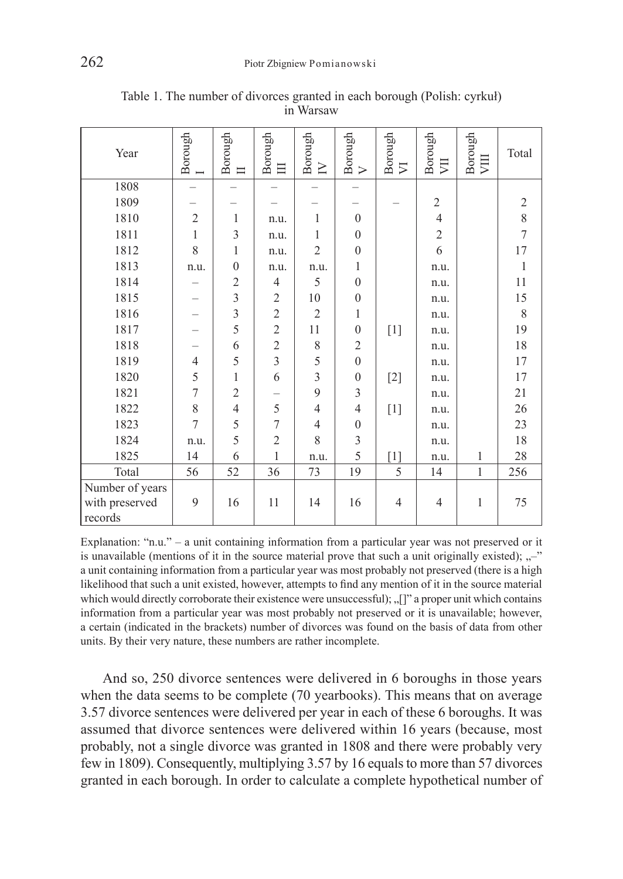| Year                      | Borough        | Borough<br>$\equiv$ | Borough<br>目   | Borough<br>$\geq$ | Borough<br>$\triangleright$ | Borough<br>⋝   | Borough<br>買   | Borough<br>VIII | Total          |
|---------------------------|----------------|---------------------|----------------|-------------------|-----------------------------|----------------|----------------|-----------------|----------------|
| 1808                      |                |                     |                |                   |                             |                |                |                 |                |
| 1809                      |                |                     |                |                   |                             |                | $\overline{2}$ |                 | $\mathfrak{2}$ |
| 1810                      | $\overline{2}$ | 1                   | n.u.           | 1                 | $\Omega$                    |                | $\overline{4}$ |                 | 8              |
| 1811                      | $\mathbf{1}$   | $\overline{3}$      | n.u.           | 1                 | $\theta$                    |                | $\sqrt{2}$     |                 | $\overline{7}$ |
| 1812                      | 8              | 1                   | n.u.           | $\overline{2}$    | $\overline{0}$              |                | 6              |                 | 17             |
| 1813                      | n.u.           | $\theta$            | n.u.           | n.u.              | 1                           |                | n.u.           |                 | $\mathbf{1}$   |
| 1814                      |                | $\overline{c}$      | 4              | 5                 | $\theta$                    |                | n.u.           |                 | 11             |
| 1815                      |                | $\overline{3}$      | $\sqrt{2}$     | 10                | $\overline{0}$              |                | n.u.           |                 | 15             |
| 1816                      |                | $\overline{3}$      | $\overline{c}$ | $\overline{2}$    | 1                           |                | n.u.           |                 | 8              |
| 1817                      |                | 5                   | $\overline{c}$ | 11                | $\mathbf{0}$                | $[1]$          | n.u.           |                 | 19             |
| 1818                      |                | 6                   | $\overline{c}$ | 8                 | $\overline{2}$              |                | n.u.           |                 | $18\,$         |
| 1819                      | $\overline{4}$ | 5                   | $\overline{3}$ | 5                 | $\boldsymbol{0}$            |                | n.u.           |                 | 17             |
| 1820                      | 5              | 1                   | 6              | $\overline{3}$    | $\theta$                    | $[2]$          | n.u.           |                 | 17             |
| 1821                      | 7              | $\overline{2}$      |                | 9                 | 3                           |                | n.u.           |                 | $21\,$         |
| 1822                      | 8              | $\overline{4}$      | 5              | $\overline{4}$    | $\overline{4}$              | $[1]$          | n.u.           |                 | 26             |
| 1823                      | 7              | 5                   | $\tau$         | $\overline{4}$    | $\boldsymbol{0}$            |                | n.u.           |                 | 23             |
| 1824                      | n.u.           | 5                   | $\overline{2}$ | 8                 | 3                           |                | n.u.           |                 | $18\,$         |
| 1825                      | 14             | 6                   | $\mathbf{1}$   | n.u.              | 5                           | $[1]$          | n.u.           | $\mathbf{1}$    | 28             |
| Total                     | 56             | 52                  | 36             | 73                | 19                          | 5              | 14             | $\mathbf{1}$    | 256            |
| Number of years           |                |                     |                |                   |                             |                |                |                 |                |
| with preserved<br>records | 9              | 16                  | 11             | 14                | 16                          | $\overline{4}$ | $\overline{4}$ | 1               | 75             |

Table 1. The number of divorces granted in each borough (Polish: cyrkuł) in Warsaw

Explanation: "n.u." – a unit containing information from a particular year was not preserved or it is unavailable (mentions of it in the source material prove that such a unit originally existed);  $\ldots$ <sup>"</sup> a unit containing information from a particular year was most probably not preserved (there is a high likelihood that such a unit existed, however, attempts to find any mention of it in the source material which would directly corroborate their existence were unsuccessful); "[]" a proper unit which contains information from a particular year was most probably not preserved or it is unavailable; however, a certain (indicated in the brackets) number of divorces was found on the basis of data from other units. By their very nature, these numbers are rather incomplete.

And so, 250 divorce sentences were delivered in 6 boroughs in those years when the data seems to be complete (70 yearbooks). This means that on average 3.57 divorce sentences were delivered per year in each of these 6 boroughs. It was assumed that divorce sentences were delivered within 16 years (because, most probably, not a single divorce was granted in 1808 and there were probably very few in 1809). Consequently, multiplying 3.57 by 16 equals to more than 57 divorces granted in each borough. In order to calculate a complete hypothetical number of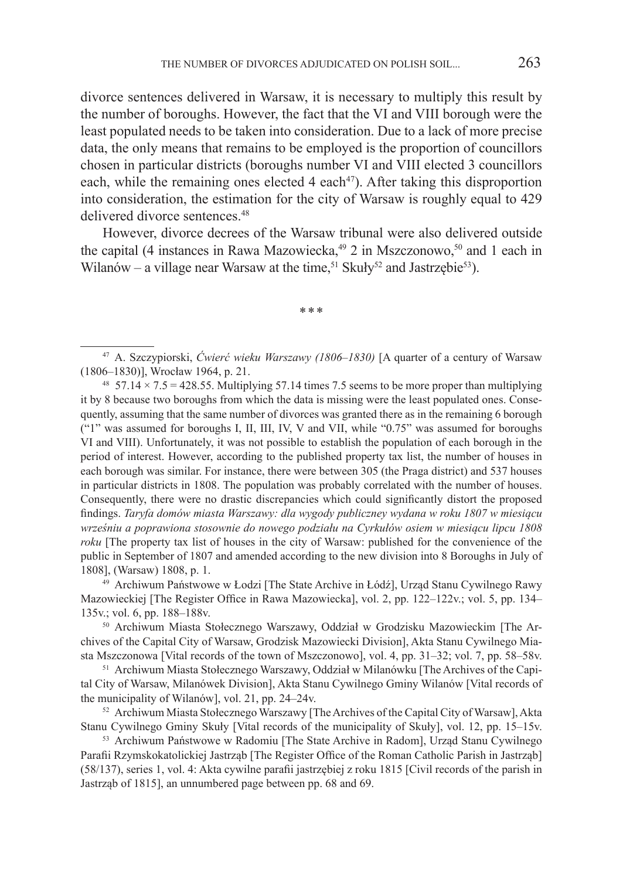divorce sentences delivered in Warsaw, it is necessary to multiply this result by the number of boroughs. However, the fact that the VI and VIII borough were the least populated needs to be taken into consideration. Due to a lack of more precise data, the only means that remains to be employed is the proportion of councillors chosen in particular districts (boroughs number VI and VIII elected 3 councillors each, while the remaining ones elected  $4$  each<sup> $47$ </sup>). After taking this disproportion into consideration, the estimation for the city of Warsaw is roughly equal to 429 delivered divorce sentences.<sup>48</sup>

However, divorce decrees of the Warsaw tribunal were also delivered outside the capital (4 instances in Rawa Mazowiecka,<sup>49</sup> 2 in Mszczonowo,<sup>50</sup> and 1 each in Wilanów – a village near Warsaw at the time,<sup>51</sup> Skuły<sup>52</sup> and Jastrzębie<sup>53</sup>).

\*\*\*

<sup>47</sup> A. Szczypiorski, *Ćwierć wieku Warszawy (1806–1830)* [A quarter of a century of Warsaw (1806–1830)], Wrocław 1964, p. 21.

<sup>48</sup> 57.14  $\times$  7.5 = 428.55. Multiplying 57.14 times 7.5 seems to be more proper than multiplying it by 8 because two boroughs from which the data is missing were the least populated ones. Consequently, assuming that the same number of divorces was granted there as in the remaining 6 borough ("1" was assumed for boroughs I, II, III, IV, V and VII, while "0.75" was assumed for boroughs VI and VIII). Unfortunately, it was not possible to establish the population of each borough in the period of interest. However, according to the published property tax list, the number of houses in each borough was similar. For instance, there were between 305 (the Praga district) and 537 houses in particular districts in 1808. The population was probably correlated with the number of houses. Consequently, there were no drastic discrepancies which could significantly distort the proposed findings. *Taryfa domów miasta Warszawy: dla wygody publiczney wydana w roku 1807 w miesiącu wrześniu a poprawiona stosownie do nowego podziału na Cyrkułów osiem w miesiącu lipcu 1808 roku* [The property tax list of houses in the city of Warsaw: published for the convenience of the public in September of 1807 and amended according to the new division into 8 Boroughs in July of 1808], (Warsaw) 1808, p. 1. 49 Archiwum Państwowe w Łodzi [The State Archive in Łódź], Urząd Stanu Cywilnego Rawy

Mazowieckiej [The Register Office in Rawa Mazowiecka], vol. 2, pp. 122–122v.; vol. 5, pp. 134– 135v.; vol. 6, pp. 188–188v.

<sup>50</sup> Archiwum Miasta Stołecznego Warszawy, Oddział w Grodzisku Mazowieckim [The Archives of the Capital City of Warsaw, Grodzisk Mazowiecki Division], Akta Stanu Cywilnego Miasta Mszczonowa [Vital records of the town of Mszczonowo], vol. 4, pp. 31–32; vol. 7, pp. 58–58v. 51 Archiwum Miasta Stołecznego Warszawy, Oddział w Milanówku [The Archives of the Capi-

tal City of Warsaw, Milanówek Division], Akta Stanu Cywilnego Gminy Wilanów [Vital records of the municipality of Wilanów], vol. 21, pp. 24–24v.

<sup>52</sup> Archiwum Miasta Stołecznego Warszawy [The Archives of the Capital City of Warsaw], Akta Stanu Cywilnego Gminy Skuły [Vital records of the municipality of Skuły], vol. 12, pp. 15–15v.

<sup>53</sup> Archiwum Państwowe w Radomiu [The State Archive in Radom], Urząd Stanu Cywilnego Parafii Rzymskokatolickiej Jastrząb [The Register Office of the Roman Catholic Parish in Jastrząb] (58/137), series 1, vol. 4: Akta cywilne parafii jastrzębiej z roku 1815 [Civil records of the parish in Jastrząb of 1815], an unnumbered page between pp. 68 and 69.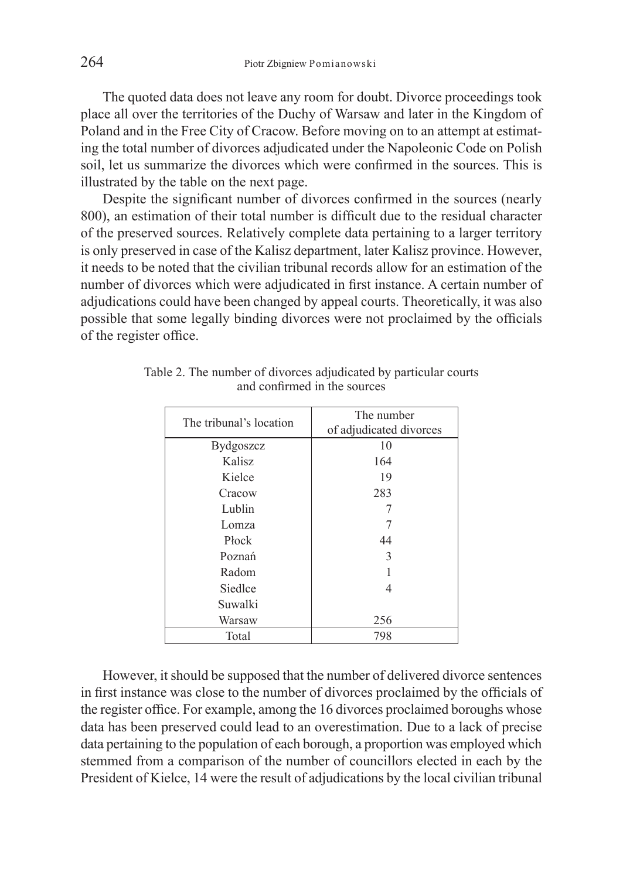The quoted data does not leave any room for doubt. Divorce proceedings took place all over the territories of the Duchy of Warsaw and later in the Kingdom of Poland and in the Free City of Cracow. Before moving on to an attempt at estimating the total number of divorces adjudicated under the Napoleonic Code on Polish soil, let us summarize the divorces which were confirmed in the sources. This is illustrated by the table on the next page.

Despite the significant number of divorces confirmed in the sources (nearly 800), an estimation of their total number is difficult due to the residual character of the preserved sources. Relatively complete data pertaining to a larger territory is only preserved in case of the Kalisz department, later Kalisz province. However, it needs to be noted that the civilian tribunal records allow for an estimation of the number of divorces which were adjudicated in first instance. A certain number of adjudications could have been changed by appeal courts. Theoretically, it was also possible that some legally binding divorces were not proclaimed by the officials of the register office.

| The tribunal's location | The number<br>of adjudicated divorces |  |  |
|-------------------------|---------------------------------------|--|--|
| <b>Bydgoszcz</b>        | 10                                    |  |  |
| Kalisz                  | 164                                   |  |  |
| Kielce                  | 19                                    |  |  |
| Cracow                  | 283                                   |  |  |
| Lublin                  |                                       |  |  |
| Lomza                   |                                       |  |  |
| Płock                   | 44                                    |  |  |
| Poznań                  | 3                                     |  |  |
| Radom                   |                                       |  |  |
| Siedlce                 |                                       |  |  |
| Suwalki                 |                                       |  |  |
| Warsaw                  | 256                                   |  |  |
| Total                   | 798                                   |  |  |

Table 2. The number of divorces adjudicated by particular courts and confirmed in the sources

However, it should be supposed that the number of delivered divorce sentences in first instance was close to the number of divorces proclaimed by the officials of the register office. For example, among the 16 divorces proclaimed boroughs whose data has been preserved could lead to an overestimation. Due to a lack of precise data pertaining to the population of each borough, a proportion was employed which stemmed from a comparison of the number of councillors elected in each by the President of Kielce, 14 were the result of adjudications by the local civilian tribunal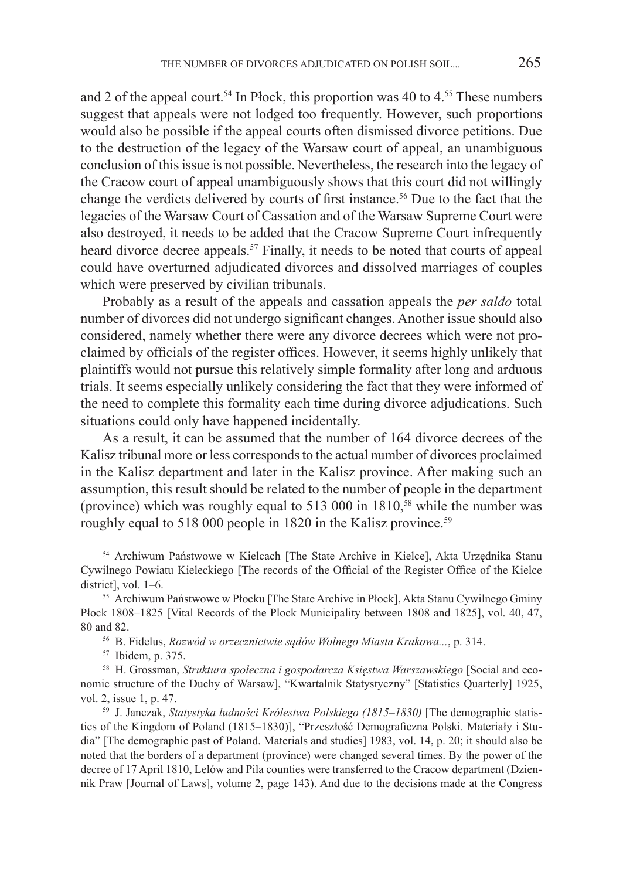and 2 of the appeal court.<sup>54</sup> In Płock, this proportion was 40 to  $4.55$  These numbers suggest that appeals were not lodged too frequently. However, such proportions would also be possible if the appeal courts often dismissed divorce petitions. Due to the destruction of the legacy of the Warsaw court of appeal, an unambiguous conclusion of this issue is not possible. Nevertheless, the research into the legacy of the Cracow court of appeal unambiguously shows that this court did not willingly change the verdicts delivered by courts of first instance.<sup>56</sup> Due to the fact that the legacies of the Warsaw Court of Cassation and of the Warsaw Supreme Court were also destroyed, it needs to be added that the Cracow Supreme Court infrequently heard divorce decree appeals.<sup>57</sup> Finally, it needs to be noted that courts of appeal could have overturned adjudicated divorces and dissolved marriages of couples which were preserved by civilian tribunals.

Probably as a result of the appeals and cassation appeals the *per saldo* total number of divorces did not undergo significant changes. Another issue should also considered, namely whether there were any divorce decrees which were not proclaimed by officials of the register offices. However, it seems highly unlikely that plaintiffs would not pursue this relatively simple formality after long and arduous trials. It seems especially unlikely considering the fact that they were informed of the need to complete this formality each time during divorce adjudications. Such situations could only have happened incidentally.

As a result, it can be assumed that the number of 164 divorce decrees of the Kalisz tribunal more or less corresponds to the actual number of divorces proclaimed in the Kalisz department and later in the Kalisz province. After making such an assumption, this result should be related to the number of people in the department (province) which was roughly equal to  $513\,000$  in  $1810$ <sup>58</sup>, while the number was roughly equal to 518 000 people in 1820 in the Kalisz province.<sup>59</sup>

<sup>54</sup> Archiwum Państwowe w Kielcach [The State Archive in Kielce], Akta Urzędnika Stanu Cywilnego Powiatu Kieleckiego [The records of the Official of the Register Office of the Kielce district], vol. 1–6.

<sup>55</sup> Archiwum Państwowe w Płocku [The State Archive in Płock], Akta Stanu Cywilnego Gminy Płock 1808–1825 [Vital Records of the Plock Municipality between 1808 and 1825], vol. 40, 47, 80 and 82.

<sup>56</sup> B. Fidelus, *Rozwód w orzecznictwie sądów Wolnego Miasta Krakowa...*, p. 314.

<sup>57</sup> Ibidem, p. 375.

<sup>58</sup> H. Grossman, *Struktura społeczna i gospodarcza Księstwa Warszawskiego* [Social and economic structure of the Duchy of Warsaw], "Kwartalnik Statystyczny" [Statistics Quarterly] 1925, vol. 2, issue 1, p. 47.

<sup>59</sup> J. Janczak, *Statystyka ludności Królestwa Polskiego (1815–1830)* [The demographic statistics of the Kingdom of Poland (1815–1830)], "Przeszłość Demograficzna Polski. Materiały i Studia" [The demographic past of Poland. Materials and studies] 1983, vol. 14, p. 20; it should also be noted that the borders of a department (province) were changed several times. By the power of the decree of 17 April 1810, Lelów and Pila counties were transferred to the Cracow department (Dziennik Praw [Journal of Laws], volume 2, page 143). And due to the decisions made at the Congress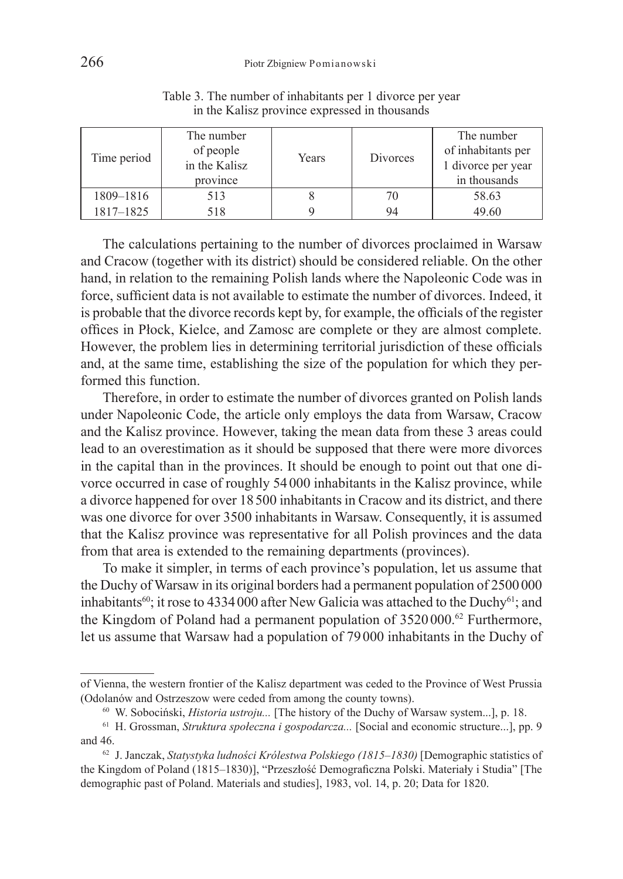| Time period | The number<br>of people<br>in the Kalisz<br>province | Years | Divorces | The number<br>of inhabitants per<br>1 divorce per year<br>in thousands |
|-------------|------------------------------------------------------|-------|----------|------------------------------------------------------------------------|
| 1809-1816   | 513                                                  |       | 70       | 58.63                                                                  |
| 1817-1825   | 518                                                  |       | 94       | 49.60                                                                  |

Table 3. The number of inhabitants per 1 divorce per year in the Kalisz province expressed in thousands

The calculations pertaining to the number of divorces proclaimed in Warsaw and Cracow (together with its district) should be considered reliable. On the other hand, in relation to the remaining Polish lands where the Napoleonic Code was in force, sufficient data is not available to estimate the number of divorces. Indeed, it is probable that the divorce records kept by, for example, the officials of the register offices in Płock, Kielce, and Zamosc are complete or they are almost complete. However, the problem lies in determining territorial jurisdiction of these officials and, at the same time, establishing the size of the population for which they performed this function.

Therefore, in order to estimate the number of divorces granted on Polish lands under Napoleonic Code, the article only employs the data from Warsaw, Cracow and the Kalisz province. However, taking the mean data from these 3 areas could lead to an overestimation as it should be supposed that there were more divorces in the capital than in the provinces. It should be enough to point out that one divorce occurred in case of roughly 54000 inhabitants in the Kalisz province, while a divorce happened for over 18500 inhabitants in Cracow and its district, and there was one divorce for over 3500 inhabitants in Warsaw. Consequently, it is assumed that the Kalisz province was representative for all Polish provinces and the data from that area is extended to the remaining departments (provinces).

To make it simpler, in terms of each province's population, let us assume that the Duchy of Warsaw in its original borders had a permanent population of 2500 000 inhabitants<sup>60</sup>; it rose to 4334 000 after New Galicia was attached to the Duchy<sup>61</sup>; and the Kingdom of Poland had a permanent population of 3520 000.<sup>62</sup> Furthermore, let us assume that Warsaw had a population of 79 000 inhabitants in the Duchy of

of Vienna, the western frontier of the Kalisz department was ceded to the Province of West Prussia (Odolanów and Ostrzeszow were ceded from among the county towns).

<sup>60</sup> W. Sobociński, *Historia ustroju...* [The history of the Duchy of Warsaw system...], p. 18.

<sup>61</sup> H. Grossman, *Struktura społeczna i gospodarcza...* [Social and economic structure...], pp. 9 and 46.

<sup>62</sup> J. Janczak, *Statystyka ludności Królestwa Polskiego (1815–1830)* [Demographic statistics of the Kingdom of Poland (1815–1830)], "Przeszłość Demograficzna Polski. Materiały i Studia" [The demographic past of Poland. Materials and studies], 1983, vol. 14, p. 20; Data for 1820.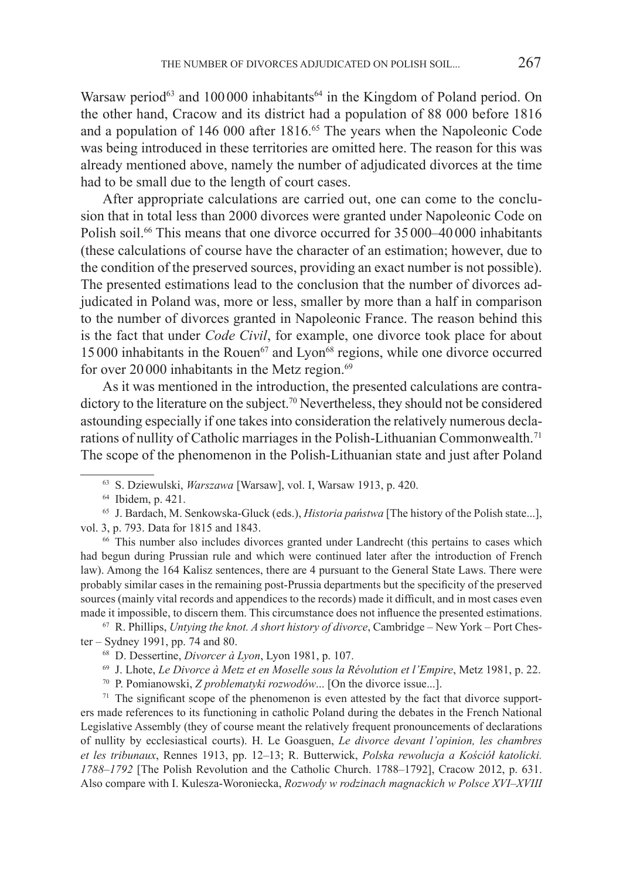Warsaw period<sup>63</sup> and 100000 inhabitants<sup>64</sup> in the Kingdom of Poland period. On the other hand, Cracow and its district had a population of 88 000 before 1816 and a population of 146 000 after 1816.<sup>65</sup> The years when the Napoleonic Code was being introduced in these territories are omitted here. The reason for this was already mentioned above, namely the number of adjudicated divorces at the time had to be small due to the length of court cases.

After appropriate calculations are carried out, one can come to the conclusion that in total less than 2000 divorces were granted under Napoleonic Code on Polish soil.66 This means that one divorce occurred for 35000–40000 inhabitants (these calculations of course have the character of an estimation; however, due to the condition of the preserved sources, providing an exact number is not possible). The presented estimations lead to the conclusion that the number of divorces adjudicated in Poland was, more or less, smaller by more than a half in comparison to the number of divorces granted in Napoleonic France. The reason behind this is the fact that under *Code Civil*, for example, one divorce took place for about  $15,000$  inhabitants in the Rouen<sup> $67$ </sup> and Lyon<sup> $68$ </sup> regions, while one divorce occurred for over  $20000$  inhabitants in the Metz region.<sup>69</sup>

As it was mentioned in the introduction, the presented calculations are contradictory to the literature on the subject.<sup>70</sup> Nevertheless, they should not be considered astounding especially if one takes into consideration the relatively numerous declarations of nullity of Catholic marriages in the Polish-Lithuanian Commonwealth.<sup>71</sup> The scope of the phenomenon in the Polish-Lithuanian state and just after Poland

<sup>66</sup> This number also includes divorces granted under Landrecht (this pertains to cases which had begun during Prussian rule and which were continued later after the introduction of French law). Among the 164 Kalisz sentences, there are 4 pursuant to the General State Laws. There were probably similar cases in the remaining post-Prussia departments but the specificity of the preserved sources (mainly vital records and appendices to the records) made it difficult, and in most cases even made it impossible, to discern them. This circumstance does not influence the presented estimations.

<sup>67</sup> R. Phillips, *Untying the knot. A short history of divorce*, Cambridge – New York – Port Chester – Sydney 1991, pp. 74 and 80.

<sup>68</sup> D. Dessertine, *Divorcer à Lyon*, Lyon 1981, p. 107.

<sup>69</sup> J. Lhote, *Le Divorce à Metz et en Moselle sous la Révolution et l'Empire*, Metz 1981, p. 22.

<sup>70</sup> P. Pomianowski, *Z problematyki rozwodów*... [On the divorce issue...].

 $71$  The significant scope of the phenomenon is even attested by the fact that divorce supporters made references to its functioning in catholic Poland during the debates in the French National Legislative Assembly (they of course meant the relatively frequent pronouncements of declarations of nullity by ecclesiastical courts). H. Le Goasguen, *Le divorce devant l'opinion, les chambres et les tribunaux*, Rennes 1913, pp. 12–13; R. Butterwick, *Polska rewolucja a Kościół katolicki. 1788–1792* [The Polish Revolution and the Catholic Church. 1788–1792], Cracow 2012, p. 631. Also compare with I. Kulesza-Woroniecka, *Rozwody w rodzinach magnackich w Polsce XVI–XVIII* 

<sup>63</sup> S. Dziewulski, *Warszawa* [Warsaw], vol. I, Warsaw 1913, p. 420. 64 Ibidem, p. 421.

<sup>65</sup> J. Bardach, M. Senkowska-Gluck (eds.), *Historia państwa* [The history of the Polish state...], vol. 3, p. 793. Data for 1815 and 1843.